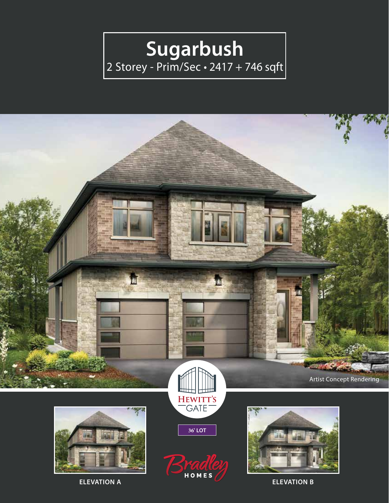## Sugarbush<br>
2 Storey - Prim/Sec · 2417 + 746 sqft



**ELEVATION B**